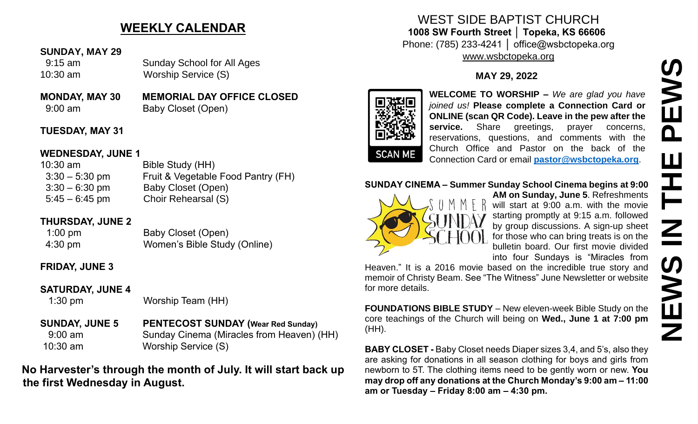# **WEEKLY CALENDAR**

#### **SUNDAY, MAY 29**

 9:15 am Sunday School for All Ages 10:30 am Worship Service (S)

**MONDAY, MAY 30 MEMORIAL DAY OFFICE CLOSED** 9:00 am Baby Closet (Open)

### **TUESDAY, MAY 31**

#### **WEDNESDAY, JUNE 1**

10:30 am Bible Study (HH) 3:30 – 5:30 pm Fruit & Vegetable Food Pantry (FH) 3:30 – 6:30 pm Baby Closet (Open) 5:45 – 6:45 pm Choir Rehearsal (S)

### **THURSDAY, JUNE 2**

1:00 pm Baby Closet (Open) 4:30 pm Women's Bible Study (Online)

### **FRIDAY, JUNE 3**

### **SATURDAY, JUNE 4**

1:30 pm Worship Team (HH)

**SUNDAY, JUNE 5 PENTECOST SUNDAY (Wear Red Sunday)** 9:00 am Sunday Cinema (Miracles from Heaven) (HH) 10:30 am Worship Service (S)

# **No Harvester's through the month of July. It will start back up the first Wednesday in August.**

### WEST SIDE BAPTIST CHURCH **1008 SW Fourth Street │ Topeka, KS 66606** Phone: (785) 233-4241 │ office@wsbctopeka.org [www.wsbctopeka.org](http://www.wsbctopeka.org/)

## **MAY 29, 2022**



**WELCOME TO WORSHIP –** *We are glad you have joined us!* **Please complete a Connection Card or ONLINE (scan QR Code). Leave in the pew after the**  service. Share greetings, prayer concerns, reservations, questions, and comments with the Church Office and Pastor on the back of the Connection Card or email **[pastor@wsbctopeka.org](mailto:pastor@wsbctopeka.org)**.

#### **SUNDAY CINEMA – Summer Sunday School Cinema begins at 9:00**



**AM on Sunday, June 5**. Refreshments will start at 9:00 a.m. with the movie starting promptly at 9:15 a.m. followed by group discussions. A sign-up sheet for those who can bring treats is on the bulletin board. Our first movie divided into four Sundays is "Miracles from

Heaven." It is a 2016 movie based on the incredible true story and memoir of Christy Beam. See "The Witness" June Newsletter or website for more details.

**FOUNDATIONS BIBLE STUDY** – New eleven-week Bible Study on the core teachings of the Church will being on **Wed., June 1 at 7:00 pm** (HH).

**BABY CLOSET -** Baby Closet needs Diaper sizes 3,4, and 5's, also they are asking for donations in all season clothing for boys and girls from newborn to 5T. The clothing items need to be gently worn or new. **You may drop off any donations at the Church Monday's 9:00 am – 11:00 am or Tuesday – Friday 8:00 am – 4:30 pm.**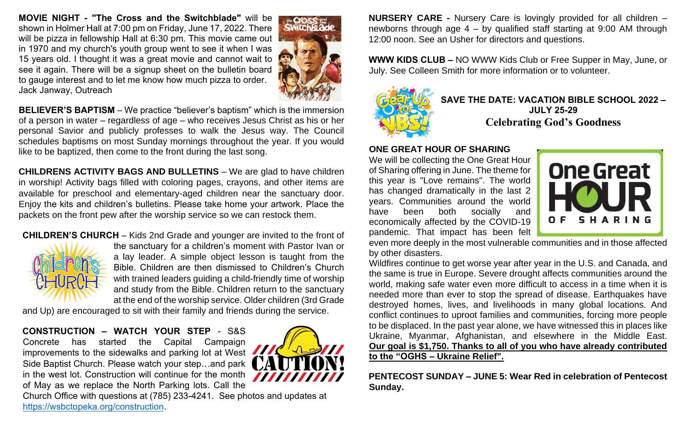**MOVIE NIGHT - "The Cross and the Switchblade"** will be shown in Holmer Hall at 7:00 pm on Friday, June 17, 2022. There will be pizza in fellowship Hall at 6:30 pm. This movie came out in 1970 and my church's youth group went to see it when I was 15 years old. I thought it was a great movie and cannot wait to see it again. There will be a signup sheet on the bulletin board to gauge interest and to let me know how much pizza to order. Jack Janway, Outreach



**BELIEVER'S BAPTISM** – We practice "believer's baptism" which is the immersion of a person in water – regardless of age – who receives Jesus Christ as his or her personal Savior and publicly professes to walk the Jesus way. The Council schedules baptisms on most Sunday mornings throughout the year. If you would like to be baptized, then come to the front during the last song.

**CHILDRENS ACTIVITY BAGS AND BULLETINS** – We are glad to have children in worship! Activity bags filled with coloring pages, crayons, and other items are available for preschool and elementary-aged children near the sanctuary door. Enjoy the kits and children's bulletins. Please take home your artwork. Place the packets on the front pew after the worship service so we can restock them.

#### **CHILDREN'S CHURCH** – Kids 2nd Grade and younger are invited to the front of the sanctuary for a children's moment with Pastor Ivan or a lay leader. A simple object lesson is taught from the Bible. Children are then dismissed to Children's Church with trained leaders guiding a child-friendly time of worship

and study from the Bible. Children return to the sanctuary at the end of the worship service. Older children (3rd Grade

and Up) are encouraged to sit with their family and friends during the service.

#### **CONSTRUCTION – WATCH YOUR STEP** - S&S

Concrete has started the Capital Campaign improvements to the sidewalks and parking lot at West Side Baptist Church. Please watch your step…and park in the west lot. Construction will continue for the month of May as we replace the North Parking lots. Call the



Church Office with questions at (785) 233-4241. See photos and updates at [https://wsbctopeka.org/construction.](https://wsbctopeka.org/construction)

**NURSERY CARE -** Nursery Care is lovingly provided for all children – newborns through age 4 – by qualified staff starting at 9:00 AM through 12:00 noon. See an Usher for directors and questions.

**WWW KIDS CLUB –** NO WWW Kids Club or Free Supper in May, June, or July. See Colleen Smith for more information or to volunteer.



**SAVE THE DATE: VACATION BIBLE SCHOOL 2022 – JULY 25-29 Celebrating God's Goodness**

#### **ONE GREAT HOUR OF SHARING**

We will be collecting the One Great Hour of Sharing offering in June. The theme for this year is "Love remains". The world has changed dramatically in the last 2 years. Communities around the world have been both socially and economically affected by the COVID-19 pandemic. That impact has been felt



even more deeply in the most vulnerable communities and in those affected by other disasters.

Wildfires continue to get worse year after year in the U.S. and Canada, and the same is true in Europe. Severe drought affects communities around the world, making safe water even more difficult to access in a time when it is needed more than ever to stop the spread of disease. Earthquakes have destroyed homes, lives, and livelihoods in many global locations. And conflict continues to uproot families and communities, forcing more people to be displaced. In the past year alone, we have witnessed this in places like Ukraine, Myanmar, Afghanistan, and elsewhere in the Middle East. **Our goal is \$1,750. Thanks to all of you who have already contributed to the "OGHS – Ukraine Relief".**

**PENTECOST SUNDAY – JUNE 5: Wear Red in celebration of Pentecost Sunday.**